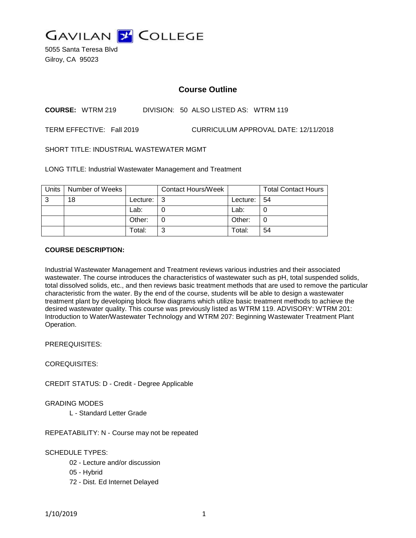

5055 Santa Teresa Blvd Gilroy, CA 95023

# **Course Outline**

## **COURSE:** WTRM 219 DIVISION: 50 ALSO LISTED AS: WTRM 119

TERM EFFECTIVE: Fall 2019 CURRICULUM APPROVAL DATE: 12/11/2018

SHORT TITLE: INDUSTRIAL WASTEWATER MGMT

LONG TITLE: Industrial Wastewater Management and Treatment

| <b>Units</b> | Number of Weeks |          | <b>Contact Hours/Week</b> |                 | <b>Total Contact Hours</b> |
|--------------|-----------------|----------|---------------------------|-----------------|----------------------------|
| 3            | 18              | Lecture: |                           | Lecture: $  54$ |                            |
|              |                 | Lab:     |                           | Lab:            |                            |
|              |                 | Other:   |                           | Other:          |                            |
|              |                 | Total:   | Ő.                        | Total:          | 54                         |

### **COURSE DESCRIPTION:**

Industrial Wastewater Management and Treatment reviews various industries and their associated wastewater. The course introduces the characteristics of wastewater such as pH, total suspended solids, total dissolved solids, etc., and then reviews basic treatment methods that are used to remove the particular characteristic from the water. By the end of the course, students will be able to design a wastewater treatment plant by developing block flow diagrams which utilize basic treatment methods to achieve the desired wastewater quality. This course was previously listed as WTRM 119. ADVISORY: WTRM 201: Introduction to Water/Wastewater Technology and WTRM 207: Beginning Wastewater Treatment Plant Operation.

PREREQUISITES:

COREQUISITES:

CREDIT STATUS: D - Credit - Degree Applicable

GRADING MODES

L - Standard Letter Grade

REPEATABILITY: N - Course may not be repeated

SCHEDULE TYPES:

- 02 Lecture and/or discussion
- 05 Hybrid
- 72 Dist. Ed Internet Delayed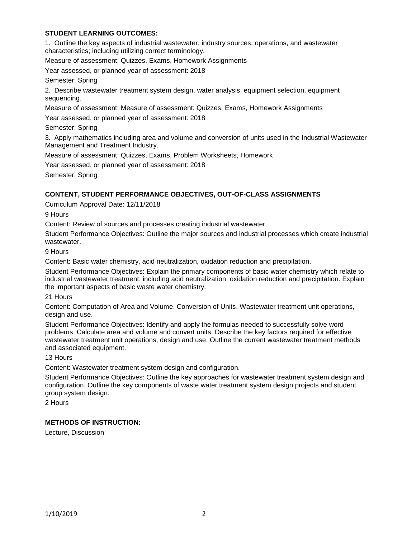### **STUDENT LEARNING OUTCOMES:**

1. Outline the key aspects of industrial wastewater, industry sources, operations, and wastewater characteristics; including utilizing correct terminology.

Measure of assessment: Quizzes, Exams, Homework Assignments

Year assessed, or planned year of assessment: 2018

Semester: Spring

2. Describe wastewater treatment system design, water analysis, equipment selection, equipment sequencing.

Measure of assessment: Measure of assessment: Quizzes, Exams, Homework Assignments

Year assessed, or planned year of assessment: 2018

Semester: Spring

3. Apply mathematics including area and volume and conversion of units used in the Industrial Wastewater Management and Treatment Industry.

Measure of assessment: Quizzes, Exams, Problem Worksheets, Homework

Year assessed, or planned year of assessment: 2018

Semester: Spring

## **CONTENT, STUDENT PERFORMANCE OBJECTIVES, OUT-OF-CLASS ASSIGNMENTS**

Curriculum Approval Date: 12/11/2018

9 Hours

Content: Review of sources and processes creating industrial wastewater.

Student Performance Objectives: Outline the major sources and industrial processes which create industrial wastewater.

9 Hours

Content: Basic water chemistry, acid neutralization, oxidation reduction and precipitation.

Student Performance Objectives: Explain the primary components of basic water chemistry which relate to industrial wastewater treatment, including acid neutralization, oxidation reduction and precipitation. Explain the important aspects of basic waste water chemistry.

21 Hours

Content: Computation of Area and Volume. Conversion of Units. Wastewater treatment unit operations, design and use.

Student Performance Objectives: Identify and apply the formulas needed to successfully solve word problems. Calculate area and volume and convert units. Describe the key factors required for effective wastewater treatment unit operations, design and use. Outline the current wastewater treatment methods and associated equipment.

13 Hours

Content: Wastewater treatment system design and configuration.

Student Performance Objectives: Outline the key approaches for wastewater treatment system design and configuration. Outline the key components of waste water treatment system design projects and student group system design.

2 Hours

## **METHODS OF INSTRUCTION:**

Lecture, Discussion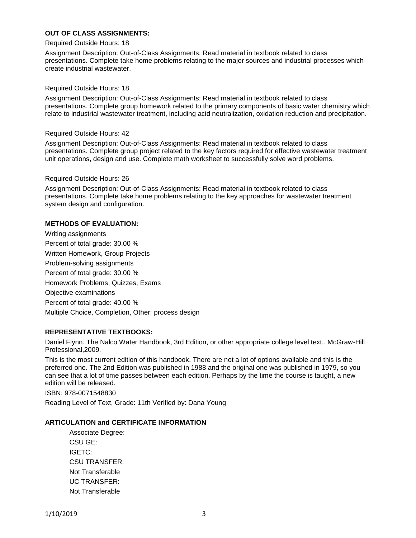### **OUT OF CLASS ASSIGNMENTS:**

#### Required Outside Hours: 18

Assignment Description: Out-of-Class Assignments: Read material in textbook related to class presentations. Complete take home problems relating to the major sources and industrial processes which create industrial wastewater.

#### Required Outside Hours: 18

Assignment Description: Out-of-Class Assignments: Read material in textbook related to class presentations. Complete group homework related to the primary components of basic water chemistry which relate to industrial wastewater treatment, including acid neutralization, oxidation reduction and precipitation.

#### Required Outside Hours: 42

Assignment Description: Out-of-Class Assignments: Read material in textbook related to class presentations. Complete group project related to the key factors required for effective wastewater treatment unit operations, design and use. Complete math worksheet to successfully solve word problems.

#### Required Outside Hours: 26

Assignment Description: Out-of-Class Assignments: Read material in textbook related to class presentations. Complete take home problems relating to the key approaches for wastewater treatment system design and configuration.

#### **METHODS OF EVALUATION:**

Writing assignments Percent of total grade: 30.00 % Written Homework, Group Projects Problem-solving assignments Percent of total grade: 30.00 % Homework Problems, Quizzes, Exams Objective examinations Percent of total grade: 40.00 % Multiple Choice, Completion, Other: process design

#### **REPRESENTATIVE TEXTBOOKS:**

Daniel Flynn. The Nalco Water Handbook, 3rd Edition, or other appropriate college level text.. McGraw-Hill Professional,2009.

This is the most current edition of this handbook. There are not a lot of options available and this is the preferred one. The 2nd Edition was published in 1988 and the original one was published in 1979, so you can see that a lot of time passes between each edition. Perhaps by the time the course is taught, a new edition will be released.

ISBN: 978-0071548830

Reading Level of Text, Grade: 11th Verified by: Dana Young

### **ARTICULATION and CERTIFICATE INFORMATION**

Associate Degree: CSU GE: IGETC: CSU TRANSFER: Not Transferable UC TRANSFER: Not Transferable